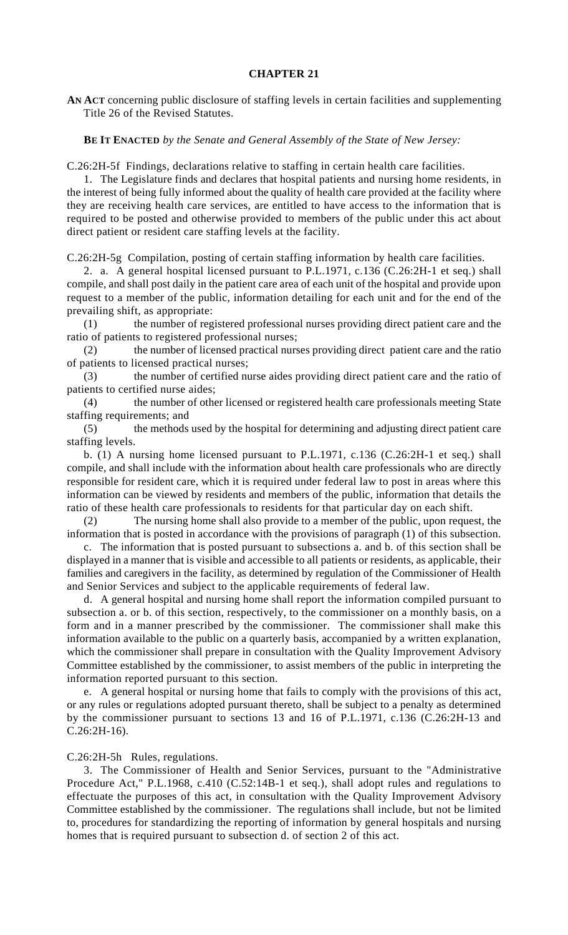## **CHAPTER 21**

**AN ACT** concerning public disclosure of staffing levels in certain facilities and supplementing Title 26 of the Revised Statutes.

## **BE IT ENACTED** *by the Senate and General Assembly of the State of New Jersey:*

C.26:2H-5f Findings, declarations relative to staffing in certain health care facilities.

1. The Legislature finds and declares that hospital patients and nursing home residents, in the interest of being fully informed about the quality of health care provided at the facility where they are receiving health care services, are entitled to have access to the information that is required to be posted and otherwise provided to members of the public under this act about direct patient or resident care staffing levels at the facility.

C.26:2H-5g Compilation, posting of certain staffing information by health care facilities.

2. a. A general hospital licensed pursuant to P.L.1971, c.136 (C.26:2H-1 et seq.) shall compile, and shall post daily in the patient care area of each unit of the hospital and provide upon request to a member of the public, information detailing for each unit and for the end of the prevailing shift, as appropriate:

(1) the number of registered professional nurses providing direct patient care and the ratio of patients to registered professional nurses;

(2) the number of licensed practical nurses providing direct patient care and the ratio of patients to licensed practical nurses;

(3) the number of certified nurse aides providing direct patient care and the ratio of patients to certified nurse aides;

(4) the number of other licensed or registered health care professionals meeting State staffing requirements; and

(5) the methods used by the hospital for determining and adjusting direct patient care staffing levels.

b. (1) A nursing home licensed pursuant to P.L.1971, c.136 (C.26:2H-1 et seq.) shall compile, and shall include with the information about health care professionals who are directly responsible for resident care, which it is required under federal law to post in areas where this information can be viewed by residents and members of the public, information that details the ratio of these health care professionals to residents for that particular day on each shift.

(2) The nursing home shall also provide to a member of the public, upon request, the information that is posted in accordance with the provisions of paragraph (1) of this subsection.

c. The information that is posted pursuant to subsections a. and b. of this section shall be displayed in a manner that is visible and accessible to all patients or residents, as applicable, their families and caregivers in the facility, as determined by regulation of the Commissioner of Health and Senior Services and subject to the applicable requirements of federal law.

d. A general hospital and nursing home shall report the information compiled pursuant to subsection a. or b. of this section, respectively, to the commissioner on a monthly basis, on a form and in a manner prescribed by the commissioner. The commissioner shall make this information available to the public on a quarterly basis, accompanied by a written explanation, which the commissioner shall prepare in consultation with the Quality Improvement Advisory Committee established by the commissioner, to assist members of the public in interpreting the information reported pursuant to this section.

e. A general hospital or nursing home that fails to comply with the provisions of this act, or any rules or regulations adopted pursuant thereto, shall be subject to a penalty as determined by the commissioner pursuant to sections 13 and 16 of P.L.1971, c.136 (C.26:2H-13 and C.26:2H-16).

C.26:2H-5h Rules, regulations.

3. The Commissioner of Health and Senior Services, pursuant to the "Administrative Procedure Act," P.L.1968, c.410 (C.52:14B-1 et seq.), shall adopt rules and regulations to effectuate the purposes of this act, in consultation with the Quality Improvement Advisory Committee established by the commissioner. The regulations shall include, but not be limited to, procedures for standardizing the reporting of information by general hospitals and nursing homes that is required pursuant to subsection d. of section 2 of this act.